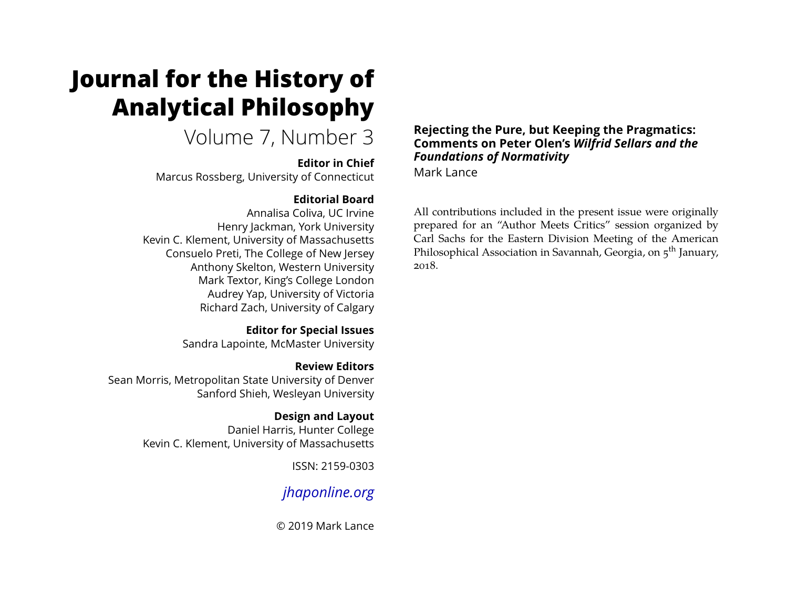# **Journal for the History of Analytical Philosophy**

Volume 7, Number 3

#### **Editor in Chief**

Marcus Rossberg, University of Connecticut

### **Editorial Board**

Annalisa Coliva, UC Irvine Henry Jackman, York University Kevin C. Klement, University of Massachusetts Consuelo Preti, The College of New Jersey Anthony Skelton, Western University Mark Textor, King's College London Audrey Yap, University of Victoria Richard Zach, University of Calgary

> **Editor for Special Issues** Sandra Lapointe, McMaster University

**Review Editors** Sean Morris, Metropolitan State University of Denver Sanford Shieh, Wesleyan University

> **Design and Layout** Daniel Harris, Hunter College Kevin C. Klement, University of Massachusetts

> > ISSN: 2159-0303

## *[jhaponline.org](https://jhaponline.org)*

© 2019 Mark Lance

#### **Rejecting the Pure, but Keeping the Pragmatics: Comments on Peter Olen's** *Wilfrid Sellars and the Foundations of Normativity*

Mark Lance

All contributions included in the present issue were originally prepared for an "Author Meets Critics" session organized by Carl Sachs for the Eastern Division Meeting of the American Philosophical Association in Savannah, Georgia, on  $5^{th}$  January, 2018.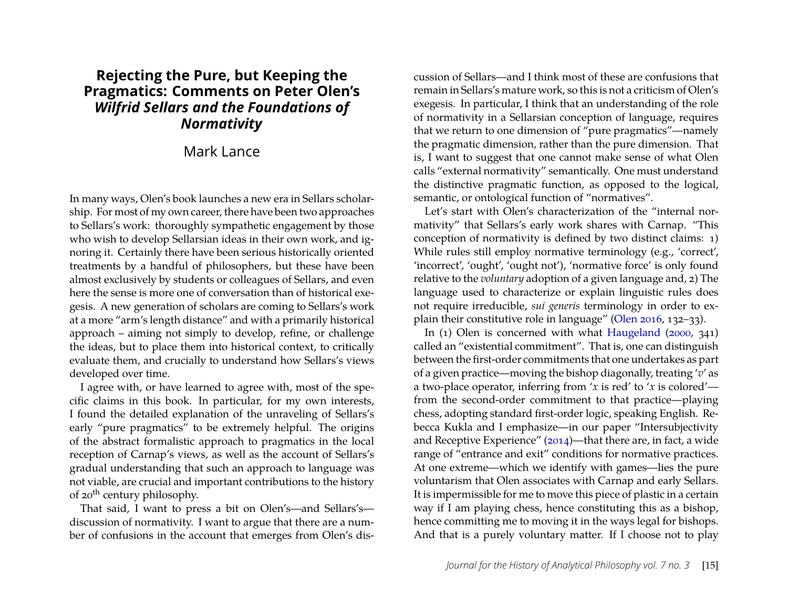### **Rejecting the Pure, but Keeping the Pragmatics: Comments on Peter Olen's** *Wilfrid Sellars and the Foundations of Normativity*

#### Mark Lance

In many ways, Olen's book launches a new era in Sellars scholarship. For most of my own career, there have been two approaches to Sellars's work: thoroughly sympathetic engagement by those who wish to develop Sellarsian ideas in their own work, and ignoring it. Certainly there have been serious historically oriented treatments by a handful of philosophers, but these have been almost exclusively by students or colleagues of Sellars, and even here the sense is more one of conversation than of historical exegesis. A new generation of scholars are coming to Sellars's work at a more "arm's length distance" and with a primarily historical approach – aiming not simply to develop, refine, or challenge the ideas, but to place them into historical context, to critically evaluate them, and crucially to understand how Sellars's views developed over time.

I agree with, or have learned to agree with, most of the specific claims in this book. In particular, for my own interests, I found the detailed explanation of the unraveling of Sellars's early "pure pragmatics" to be extremely helpful. The origins of the abstract formalistic approach to pragmatics in the local reception of Carnap's views, as well as the account of Sellars's gradual understanding that such an approach to language was not viable, are crucial and important contributions to the history of 20<sup>th</sup> century philosophy.

That said, I want to press a bit on Olen's—and Sellars's discussion of normativity. I want to argue that there are a number of confusions in the account that emerges from Olen's discussion of Sellars—and I think most of these are confusions that remain in Sellars's mature work, so this is not a criticism of Olen's exegesis. In particular, I think that an understanding of the role of normativity in a Sellarsian conception of language, requires that we return to one dimension of "pure pragmatics"—namely the pragmatic dimension, rather than the pure dimension. That is, I want to suggest that one cannot make sense of what Olen calls "external normativity" semantically. One must understand the distinctive pragmatic function, as opposed to the logical, semantic, or ontological function of "normatives".

Let's start with Olen's characterization of the "internal normativity" that Sellars's early work shares with Carnap. "This conception of normativity is defined by two distinct claims: 1) While rules still employ normative terminology (e.g., 'correct', 'incorrect', 'ought', 'ought not'), 'normative force' is only found relative to the *voluntary* adoption of a given language and, 2) The language used to characterize or explain linguistic rules does not require irreducible, *sui generis* terminology in order to explain their constitutive role in language" [\(Olen 2016,](#page-6-0) 132–33).

In (1) Olen is concerned with what [Haugeland](#page-6-1) [\(2000,](#page-6-1) 341) called an "existential commitment". That is, one can distinguish between the first-order commitments that one undertakes as part of a given practice—moving the bishop diagonally, treating '*v*' as a two-place operator, inferring from '*x* is red' to '*x* is colored' from the second-order commitment to that practice—playing chess, adopting standard first-order logic, speaking English. Rebecca Kukla and I emphasize—in our paper "Intersubjectivity and Receptive Experience" [\(2014\)](#page-6-2)—that there are, in fact, a wide range of "entrance and exit" conditions for normative practices. At one extreme—which we identify with games—lies the pure voluntarism that Olen associates with Carnap and early Sellars. It is impermissible for me to move this piece of plastic in a certain way if I am playing chess, hence constituting this as a bishop, hence committing me to moving it in the ways legal for bishops. And that is a purely voluntary matter. If I choose not to play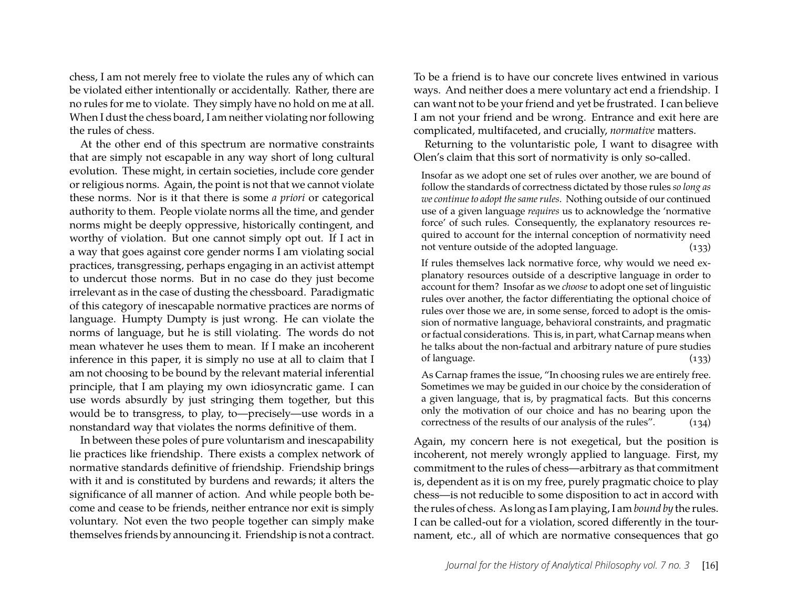chess, I am not merely free to violate the rules any of which can be violated either intentionally or accidentally. Rather, there are no rules for me to violate. They simply have no hold on me at all. When I dust the chess board, I am neither violating nor following the rules of chess.

At the other end of this spectrum are normative constraints that are simply not escapable in any way short of long cultural evolution. These might, in certain societies, include core gender or religious norms. Again, the point is not that we cannot violate these norms. Nor is it that there is some *a priori* or categorical authority to them. People violate norms all the time, and gender norms might be deeply oppressive, historically contingent, and worthy of violation. But one cannot simply opt out. If I act in a way that goes against core gender norms I am violating social practices, transgressing, perhaps engaging in an activist attempt to undercut those norms. But in no case do they just become irrelevant as in the case of dusting the chessboard. Paradigmatic of this category of inescapable normative practices are norms of language. Humpty Dumpty is just wrong. He can violate the norms of language, but he is still violating. The words do not mean whatever he uses them to mean. If I make an incoherent inference in this paper, it is simply no use at all to claim that I am not choosing to be bound by the relevant material inferential principle, that I am playing my own idiosyncratic game. I can use words absurdly by just stringing them together, but this would be to transgress, to play, to—precisely—use words in a nonstandard way that violates the norms definitive of them.

In between these poles of pure voluntarism and inescapability lie practices like friendship. There exists a complex network of normative standards definitive of friendship. Friendship brings with it and is constituted by burdens and rewards; it alters the significance of all manner of action. And while people both become and cease to be friends, neither entrance nor exit is simply voluntary. Not even the two people together can simply make themselves friends by announcing it. Friendship is not a contract.

To be a friend is to have our concrete lives entwined in various ways. And neither does a mere voluntary act end a friendship. I can want not to be your friend and yet be frustrated. I can believe I am not your friend and be wrong. Entrance and exit here are complicated, multifaceted, and crucially, *normative* matters.

Returning to the voluntaristic pole, I want to disagree with Olen's claim that this sort of normativity is only so-called.

Insofar as we adopt one set of rules over another, we are bound of follow the standards of correctness dictated by those rules *so long as we continue to adopt the same rules*. Nothing outside of our continued use of a given language *requires* us to acknowledge the 'normative force' of such rules. Consequently, the explanatory resources required to account for the internal conception of normativity need not venture outside of the adopted language. (133)

If rules themselves lack normative force, why would we need explanatory resources outside of a descriptive language in order to account for them? Insofar as we *choose* to adopt one set of linguistic rules over another, the factor differentiating the optional choice of rules over those we are, in some sense, forced to adopt is the omission of normative language, behavioral constraints, and pragmatic or factual considerations. This is, in part, what Carnap means when he talks about the non-factual and arbitrary nature of pure studies of language. (133)

As Carnap frames the issue, "In choosing rules we are entirely free. Sometimes we may be guided in our choice by the consideration of a given language, that is, by pragmatical facts. But this concerns only the motivation of our choice and has no bearing upon the correctness of the results of our analysis of the rules". (134)

Again, my concern here is not exegetical, but the position is incoherent, not merely wrongly applied to language. First, my commitment to the rules of chess—arbitrary as that commitment is, dependent as it is on my free, purely pragmatic choice to play chess—is not reducible to some disposition to act in accord with the rules of chess. As long as I am playing, I am *bound by* the rules. I can be called-out for a violation, scored differently in the tournament, etc., all of which are normative consequences that go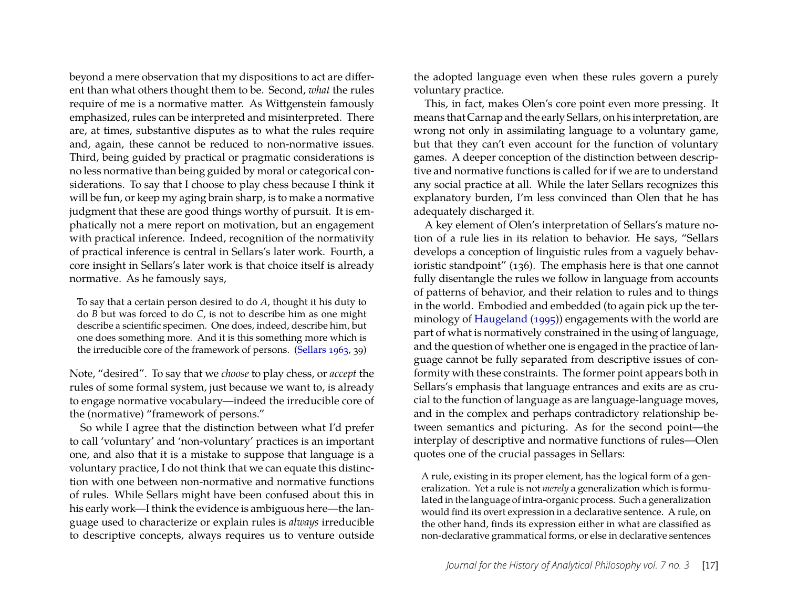beyond a mere observation that my dispositions to act are different than what others thought them to be. Second, *what* the rules require of me is a normative matter. As Wittgenstein famously emphasized, rules can be interpreted and misinterpreted. There are, at times, substantive disputes as to what the rules require and, again, these cannot be reduced to non-normative issues. Third, being guided by practical or pragmatic considerations is no less normative than being guided by moral or categorical considerations. To say that I choose to play chess because I think it will be fun, or keep my aging brain sharp, is to make a normative judgment that these are good things worthy of pursuit. It is emphatically not a mere report on motivation, but an engagement with practical inference. Indeed, recognition of the normativity of practical inference is central in Sellars's later work. Fourth, a core insight in Sellars's later work is that choice itself is already normative. As he famously says,

To say that a certain person desired to do *A*, thought it his duty to do *B* but was forced to do *C*, is not to describe him as one might describe a scientific specimen. One does, indeed, describe him, but one does something more. And it is this something more which is the irreducible core of the framework of persons. [\(Sellars 1963,](#page-6-3) 39)

Note, "desired". To say that we *choose* to play chess, or *accept* the rules of some formal system, just because we want to, is already to engage normative vocabulary—indeed the irreducible core of the (normative) "framework of persons."

So while I agree that the distinction between what I'd prefer to call 'voluntary' and 'non-voluntary' practices is an important one, and also that it is a mistake to suppose that language is a voluntary practice, I do not think that we can equate this distinction with one between non-normative and normative functions of rules. While Sellars might have been confused about this in his early work—I think the evidence is ambiguous here—the language used to characterize or explain rules is *always* irreducible to descriptive concepts, always requires us to venture outside the adopted language even when these rules govern a purely voluntary practice.

This, in fact, makes Olen's core point even more pressing. It means that Carnap and the early Sellars, on his interpretation, are wrong not only in assimilating language to a voluntary game, but that they can't even account for the function of voluntary games. A deeper conception of the distinction between descriptive and normative functions is called for if we are to understand any social practice at all. While the later Sellars recognizes this explanatory burden, I'm less convinced than Olen that he has adequately discharged it.

A key element of Olen's interpretation of Sellars's mature notion of a rule lies in its relation to behavior. He says, "Sellars develops a conception of linguistic rules from a vaguely behavioristic standpoint" (136). The emphasis here is that one cannot fully disentangle the rules we follow in language from accounts of patterns of behavior, and their relation to rules and to things in the world. Embodied and embedded (to again pick up the terminology of [Haugeland](#page-6-4) [\(1995\)](#page-6-4)) engagements with the world are part of what is normatively constrained in the using of language, and the question of whether one is engaged in the practice of language cannot be fully separated from descriptive issues of conformity with these constraints. The former point appears both in Sellars's emphasis that language entrances and exits are as crucial to the function of language as are language-language moves, and in the complex and perhaps contradictory relationship between semantics and picturing. As for the second point—the interplay of descriptive and normative functions of rules—Olen quotes one of the crucial passages in Sellars:

A rule, existing in its proper element, has the logical form of a generalization. Yet a rule is not *merely* a generalization which is formulated in the language of intra-organic process. Such a generalization would find its overt expression in a declarative sentence. A rule, on the other hand, finds its expression either in what are classified as non-declarative grammatical forms, or else in declarative sentences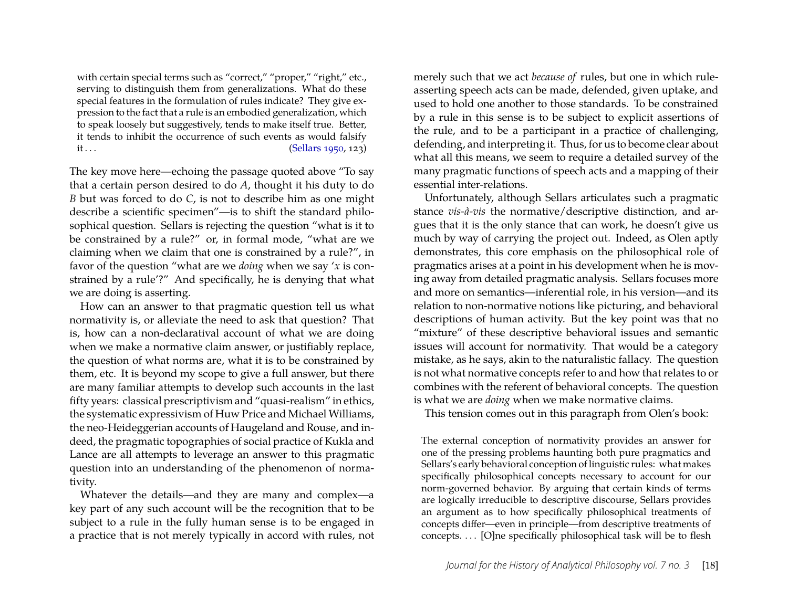with certain special terms such as "correct," "proper," "right," etc., serving to distinguish them from generalizations. What do these special features in the formulation of rules indicate? They give expression to the fact that a rule is an embodied generalization, which to speak loosely but suggestively, tends to make itself true. Better, it tends to inhibit the occurrence of such events as would falsify  $it...$  [\(Sellars 1950,](#page-6-5) 123)

The key move here—echoing the passage quoted above "To say that a certain person desired to do *A*, thought it his duty to do *B* but was forced to do *C*, is not to describe him as one might describe a scientific specimen"—is to shift the standard philosophical question. Sellars is rejecting the question "what is it to be constrained by a rule?" or, in formal mode, "what are we claiming when we claim that one is constrained by a rule?", in favor of the question "what are we *doing* when we say '*x* is constrained by a rule'?" And specifically, he is denying that what we are doing is asserting.

How can an answer to that pragmatic question tell us what normativity is, or alleviate the need to ask that question? That is, how can a non-declaratival account of what we are doing when we make a normative claim answer, or justifiably replace, the question of what norms are, what it is to be constrained by them, etc. It is beyond my scope to give a full answer, but there are many familiar attempts to develop such accounts in the last fifty years: classical prescriptivism and "quasi-realism" in ethics, the systematic expressivism of Huw Price and Michael Williams, the neo-Heideggerian accounts of Haugeland and Rouse, and indeed, the pragmatic topographies of social practice of Kukla and Lance are all attempts to leverage an answer to this pragmatic question into an understanding of the phenomenon of normativity.

Whatever the details—and they are many and complex—a key part of any such account will be the recognition that to be subject to a rule in the fully human sense is to be engaged in a practice that is not merely typically in accord with rules, not merely such that we act *because of* rules, but one in which ruleasserting speech acts can be made, defended, given uptake, and used to hold one another to those standards. To be constrained by a rule in this sense is to be subject to explicit assertions of the rule, and to be a participant in a practice of challenging, defending, and interpreting it. Thus, for us to become clear about what all this means, we seem to require a detailed survey of the many pragmatic functions of speech acts and a mapping of their essential inter-relations.

Unfortunately, although Sellars articulates such a pragmatic stance *vis-à-vis* the normative/descriptive distinction, and argues that it is the only stance that can work, he doesn't give us much by way of carrying the project out. Indeed, as Olen aptly demonstrates, this core emphasis on the philosophical role of pragmatics arises at a point in his development when he is moving away from detailed pragmatic analysis. Sellars focuses more and more on semantics—inferential role, in his version—and its relation to non-normative notions like picturing, and behavioral descriptions of human activity. But the key point was that no "mixture" of these descriptive behavioral issues and semantic issues will account for normativity. That would be a category mistake, as he says, akin to the naturalistic fallacy. The question is not what normative concepts refer to and how that relates to or combines with the referent of behavioral concepts. The question is what we are *doing* when we make normative claims.

This tension comes out in this paragraph from Olen's book:

The external conception of normativity provides an answer for one of the pressing problems haunting both pure pragmatics and Sellars's early behavioral conception of linguistic rules: what makes specifically philosophical concepts necessary to account for our norm-governed behavior. By arguing that certain kinds of terms are logically irreducible to descriptive discourse, Sellars provides an argument as to how specifically philosophical treatments of concepts differ—even in principle—from descriptive treatments of concepts. . . . [O]ne specifically philosophical task will be to flesh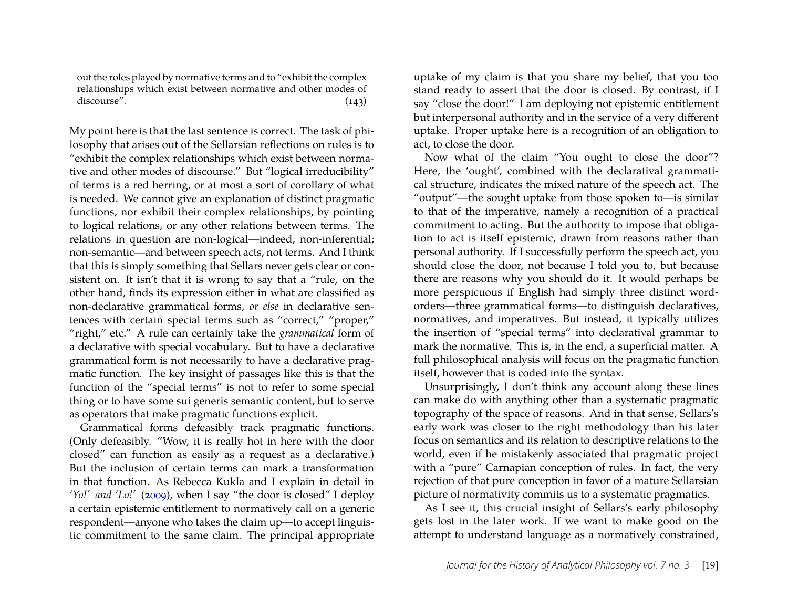out the roles played by normative terms and to "exhibit the complex relationships which exist between normative and other modes of discourse". (143)

My point here is that the last sentence is correct. The task of philosophy that arises out of the Sellarsian reflections on rules is to "exhibit the complex relationships which exist between normative and other modes of discourse." But "logical irreducibility" of terms is a red herring, or at most a sort of corollary of what is needed. We cannot give an explanation of distinct pragmatic functions, nor exhibit their complex relationships, by pointing to logical relations, or any other relations between terms. The relations in question are non-logical—indeed, non-inferential; non-semantic—and between speech acts, not terms. And I think that this is simply something that Sellars never gets clear or consistent on. It isn't that it is wrong to say that a "rule, on the other hand, finds its expression either in what are classified as non-declarative grammatical forms, *or else* in declarative sentences with certain special terms such as "correct," "proper," "right," etc." A rule can certainly take the *grammatical* form of a declarative with special vocabulary. But to have a declarative grammatical form is not necessarily to have a declarative pragmatic function. The key insight of passages like this is that the function of the "special terms" is not to refer to some special thing or to have some sui generis semantic content, but to serve as operators that make pragmatic functions explicit.

Grammatical forms defeasibly track pragmatic functions. (Only defeasibly. "Wow, it is really hot in here with the door closed" can function as easily as a request as a declarative.) But the inclusion of certain terms can mark a transformation in that function. As Rebecca Kukla and I explain in detail in *'Yo!' and 'Lo!'* [\(2009\)](#page-6-6), when I say "the door is closed" I deploy a certain epistemic entitlement to normatively call on a generic respondent—anyone who takes the claim up—to accept linguistic commitment to the same claim. The principal appropriate uptake of my claim is that you share my belief, that you too stand ready to assert that the door is closed. By contrast, if I say "close the door!" I am deploying not epistemic entitlement but interpersonal authority and in the service of a very different uptake. Proper uptake here is a recognition of an obligation to act, to close the door.

Now what of the claim "You ought to close the door"? Here, the 'ought', combined with the declaratival grammatical structure, indicates the mixed nature of the speech act. The "output"—the sought uptake from those spoken to—is similar to that of the imperative, namely a recognition of a practical commitment to acting. But the authority to impose that obligation to act is itself epistemic, drawn from reasons rather than personal authority. If I successfully perform the speech act, you should close the door, not because I told you to, but because there are reasons why you should do it. It would perhaps be more perspicuous if English had simply three distinct wordorders—three grammatical forms—to distinguish declaratives, normatives, and imperatives. But instead, it typically utilizes the insertion of "special terms" into declaratival grammar to mark the normative. This is, in the end, a superficial matter. A full philosophical analysis will focus on the pragmatic function itself, however that is coded into the syntax.

Unsurprisingly, I don't think any account along these lines can make do with anything other than a systematic pragmatic topography of the space of reasons. And in that sense, Sellars's early work was closer to the right methodology than his later focus on semantics and its relation to descriptive relations to the world, even if he mistakenly associated that pragmatic project with a "pure" Carnapian conception of rules. In fact, the very rejection of that pure conception in favor of a mature Sellarsian picture of normativity commits us to a systematic pragmatics.

As I see it, this crucial insight of Sellars's early philosophy gets lost in the later work. If we want to make good on the attempt to understand language as a normatively constrained,